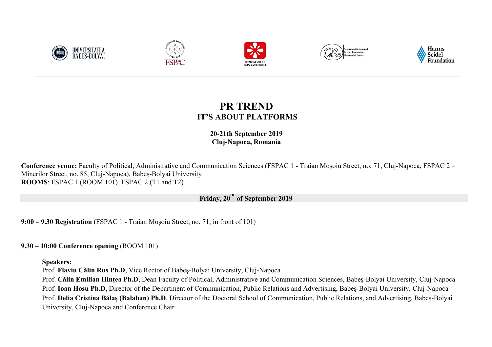









# **PR TREND IT'S ABOUT PLATFORMS**

**20-21th September 2019 Cluj-Napoca, Romania**

**Conference venue:** Faculty of Political, Administrative and Communication Sciences (FSPAC 1 - Traian Moșoiu Street, no. 71, Cluj-Napoca, FSPAC 2 – Minerilor Street, no. 85, Cluj-Napoca), Babeș-Bolyai University **ROOMS**: FSPAC 1 (ROOM 101), FSPAC 2 (T1 and T2)

## **Friday, 20<sup>th</sup> of September 2019**

**9:00 – 9.30 Registration** (FSPAC 1 - Traian Moșoiu Street, no. 71, in front of 101)

**9.30 – 10:00 Conference opening** (ROOM 101)

**Speakers:**

Prof. **Flaviu Călin Rus Ph.D**, Vice Rector of Babeş-Bolyai University, Cluj-Napoca

Prof. **Călin Emilian Hințea Ph.D**, Dean Faculty of Political, Administrative and Communication Sciences, Babeş-Bolyai University, Cluj-Napoca Prof. **Ioan Hosu Ph.D**, Director of the Department of Communication, Public Relations and Advertising, Babeş-Bolyai University, Cluj-Napoca Prof. **Delia Cristina Bălaș (Balaban) Ph.D**, Director of the Doctoral School of Communication, Public Relations, and Advertising, Babeş-Bolyai University, Cluj-Napoca and Conference Chair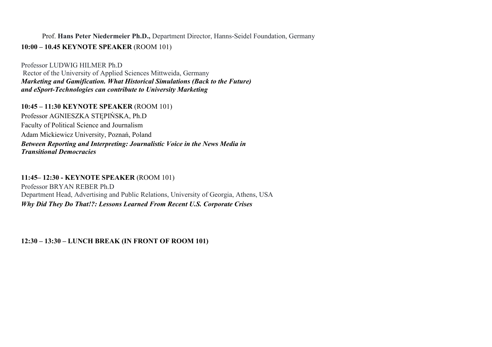### Prof. **Hans Peter Niedermeier Ph.D.,** Department Director, Hanns-Seidel Foundation, Germany **10:00 – 10.45 KEYNOTE SPEAKER** (ROOM 101)

Professor LUDWIG HILMER Ph.D Rector of the University of Applied Sciences Mittweida, Germany *Marketing and Gamification. What Historical Simulations (Back to the Future) and eSport-Technologies can contribute to University Marketing*

#### **10:45 – 11:30 KEYNOTE SPEAKER** (ROOM 101)

Professor AGNIESZKA STĘPIŃSKA, Ph.D Faculty of Political Science and Journalism Adam Mickiewicz University, Poznań, Poland *Between Reporting and Interpreting: Journalistic Voice in the News Media in Transitional Democracies*

#### **11:45– 12:30 - KEYNOTE SPEAKER** (ROOM 101)

Professor BRYAN REBER Ph.D Department Head, Advertising and Public Relations, University of Georgia, Athens, USA *Why Did They Do That!?: Lessons Learned From Recent U.S. Corporate Crises*

**12:30 – 13:30 – LUNCH BREAK (IN FRONT OF ROOM 101)**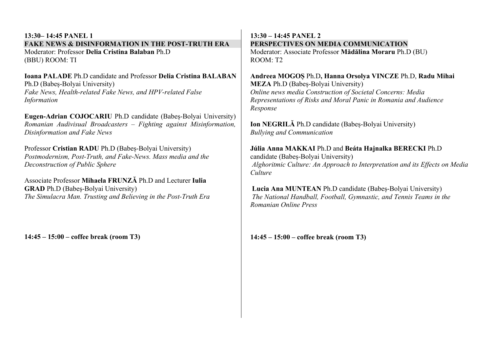#### **13:30– 14:45 PANEL 1 FAKE NEWS & DISINFORMATION IN THE POST-TRUTH ERA** Moderator: Professor **Delia Cristina Balaban** Ph.D (BBU) ROOM: TI

**Ioana PALADE** Ph.D candidate and Professor **Delia Cristina BALABAN** Ph.D (Babeș-Bolyai University) *Fake News, Health-related Fake News, and HPV-related False Information*

**Eugen-Adrian COJOCARIU** Ph.D candidate (Babeș-Bolyai University) *Romanian Audivisual Broadcasters – Fighting against Misinformation, Disinformation and Fake News*

Professor **Cristian RADU** Ph.D (Babeș-Bolyai University) *Postmodernism, Post-Truth, and Fake-News. Mass media and the Deconstruction of Public Sphere*

Associate Professor **Mihaela FRUNZĂ** Ph.D and Lecturer **Iulia GRAD** Ph.D (Babes-Bolyai University) *The Simulacra Man. Trusting and Believing in the Post-Truth Era*

**14:45 – 15:00 – coffee break (room T3)**

**13:30 – 14:45 PANEL 2 PERSPECTIVES ON MEDIA COMMUNICATION**  Moderator: Associate Professor **Mădălina Moraru** Ph.D (BU) ROOM: T2

#### **Andreea MOGOȘ** Ph.D**, Hanna Orsolya VINCZE** Ph.D, **Radu Mihai MEZA** Ph.D (Babeș-Bolyai University)

*Online news media Construction of Societal Concerns: Media Representations of Risks and Moral Panic in Romania and Audience Response*

**Ion NEGRILĂ** Ph.D candidate (Babeș-Bolyai University) *Bullying and Communication*

**Júlia Anna MAKKAI** Ph.D and **Beáta Hajnalka BERECKI** Ph.D candidate (Babeș-Bolyai University) *Alghoritmic Culture: An Approach to Interpretation and its Effects on Media Culture*

**Lucia Ana MUNTEAN** Ph.D candidate (Babeș-Bolyai University) *The National Handball, Football, Gymnastic, and Tennis Teams in the Romanian Online Press*

**14:45 – 15:00 – coffee break (room T3)**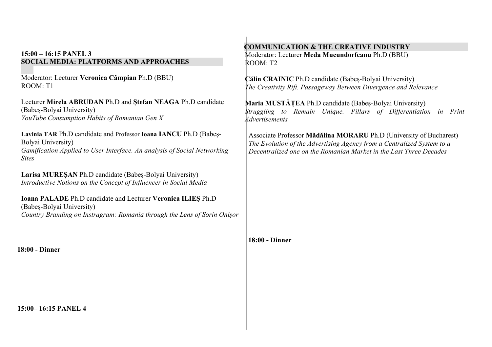| $15:00 - 16:15$ PANEL 3                                                                                                                                                             | COMMUNICATION & THE CREATIVE INDUSTRY                                                                                                                                                                              |
|-------------------------------------------------------------------------------------------------------------------------------------------------------------------------------------|--------------------------------------------------------------------------------------------------------------------------------------------------------------------------------------------------------------------|
| <b>SOCIAL MEDIA: PLATFORMS AND APPROACHES</b>                                                                                                                                       | Moderator: Lecturer Meda Mucundorfeanu Ph.D (BBU)<br>ROOM: T2                                                                                                                                                      |
| Moderator: Lecturer Veronica Câmpian Ph.D (BBU)<br>ROOM: T1                                                                                                                         | Călin CRAINIC Ph.D candidate (Babeș-Bolyai University)<br>The Creativity Rift. Passageway Between Divergence and Relevance                                                                                         |
| Lecturer Mirela ABRUDAN Ph.D and Stefan NEAGA Ph.D candidate<br>(Babeș-Bolyai University)<br>YouTube Consumption Habits of Romanian Gen X                                           | Maria MUSTĂȚEA Ph.D candidate (Babeș-Bolyai University)<br>Struggling to Remain Unique. Pillars of Differentiation in Print<br>Advertisements                                                                      |
| Lavinia TAR Ph.D candidate and Professor Ioana IANCU Ph.D (Babeș-<br>Bolyai University)<br>Gamification Applied to User Interface. An analysis of Social Networking<br><b>Sites</b> | Associate Professor Mădălina MORARU Ph.D (University of Bucharest)<br>The Evolution of the Advertising Agency from a Centralized System to a<br>Decentralized one on the Romanian Market in the Last Three Decades |
| Larisa MURESAN Ph.D candidate (Babeș-Bolyai University)<br>Introductive Notions on the Concept of Influencer in Social Media                                                        |                                                                                                                                                                                                                    |
| Ioana PALADE Ph.D candidate and Lecturer Veronica ILIES Ph.D<br>(Babeș-Bolyai University)<br>Country Branding on Instragram: Romania through the Lens of Sorin Onişor               |                                                                                                                                                                                                                    |
| 18:00 - Dinner                                                                                                                                                                      | <b>18:00 - Dinner</b>                                                                                                                                                                                              |
| 15:00 – 16:15 PANEL 4                                                                                                                                                               |                                                                                                                                                                                                                    |